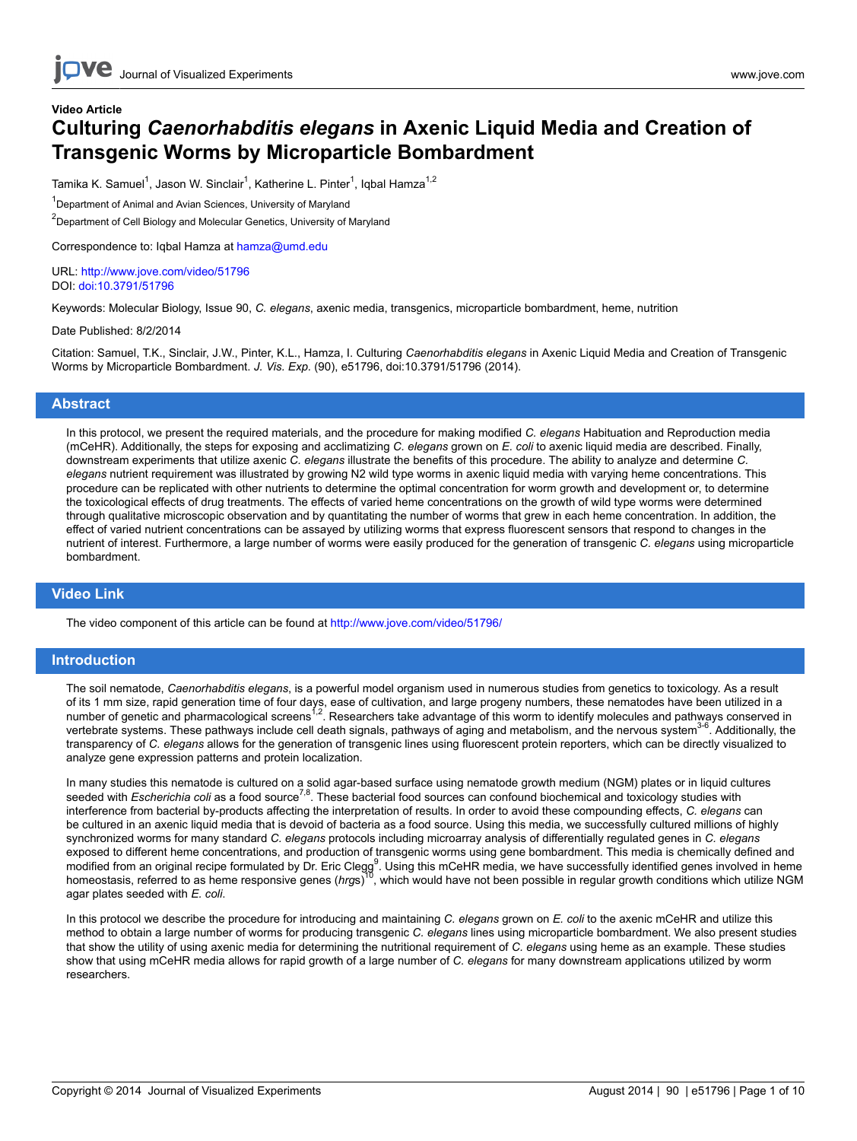## **Video Article Culturing** *Caenorhabditis elegans* **in Axenic Liquid Media and Creation of Transgenic Worms by Microparticle Bombardment**

Tamika K. Samuel<sup>1</sup>, Jason W. Sinclair<sup>1</sup>, Katherine L. Pinter<sup>1</sup>, Iqbal Hamza<sup>1,2</sup>

<sup>1</sup>Department of Animal and Avian Sciences, University of Maryland

<sup>2</sup>Department of Cell Biology and Molecular Genetics, University of Maryland

Correspondence to: Iqbal Hamza at [hamza@umd.edu](mailto:hamza@umd.edu)

URL:<http://www.jove.com/video/51796> DOI: [doi:10.3791/51796](http://dx.doi.org/10.3791/51796)

Keywords: Molecular Biology, Issue 90, *C. elegans*, axenic media, transgenics, microparticle bombardment, heme, nutrition

Date Published: 8/2/2014

Citation: Samuel, T.K., Sinclair, J.W., Pinter, K.L., Hamza, I. Culturing *Caenorhabditis elegans* in Axenic Liquid Media and Creation of Transgenic Worms by Microparticle Bombardment. *J. Vis. Exp.* (90), e51796, doi:10.3791/51796 (2014).

#### **Abstract**

In this protocol, we present the required materials, and the procedure for making modified *C. elegans* Habituation and Reproduction media (mCeHR). Additionally, the steps for exposing and acclimatizing *C. elegans* grown on *E. coli* to axenic liquid media are described. Finally, downstream experiments that utilize axenic *C. elegans* illustrate the benefits of this procedure. The ability to analyze and determine *C. elegans* nutrient requirement was illustrated by growing N2 wild type worms in axenic liquid media with varying heme concentrations. This procedure can be replicated with other nutrients to determine the optimal concentration for worm growth and development or, to determine the toxicological effects of drug treatments. The effects of varied heme concentrations on the growth of wild type worms were determined through qualitative microscopic observation and by quantitating the number of worms that grew in each heme concentration. In addition, the effect of varied nutrient concentrations can be assayed by utilizing worms that express fluorescent sensors that respond to changes in the nutrient of interest. Furthermore, a large number of worms were easily produced for the generation of transgenic *C. elegans* using microparticle bombardment.

## **Video Link**

The video component of this article can be found at <http://www.jove.com/video/51796/>

## **Introduction**

The soil nematode, *Caenorhabditis elegans*, is a powerful model organism used in numerous studies from genetics to toxicology. As a result of its 1 mm size, rapid generation time of four days, ease of cultivation, and large progeny numbers, these nematodes have been utilized in a<br>number of genetic and pharmacological screens<sup>1,2</sup>. Researchers take advantage o vertebrate systems. These pathways include cell death signals, pathways of aging and metabolism, and the nervous system<sup>3-1</sup> . Additionally, the transparency of *C. elegans* allows for the generation of transgenic lines using fluorescent protein reporters, which can be directly visualized to analyze gene expression patterns and protein localization.

In many studies this nematode is cultured on a solid agar-based surface using nematode growth medium (NGM) plates or in liquid cultures<br>seeded with *Escherichia coli* as a food source<sup>7,8</sup>. These bacterial food sources can interference from bacterial by-products affecting the interpretation of results. In order to avoid these compounding effects, *C. elegans* can be cultured in an axenic liquid media that is devoid of bacteria as a food source. Using this media, we successfully cultured millions of highly synchronized worms for many standard *C. elegans* protocols including microarray analysis of differentially regulated genes in *C. elegans* exposed to different heme concentrations, and production of transgenic worms using gene bombardment. This media is chemically defined and modified from an original recipe formulated by Dr. Eric Clegg<sup>9</sup>. Using this mCeHR media, we have successfully identified genes involved in heme<br>homeostasis, referred to as heme responsive genes (*hrg*s)<sup>30</sup>, which would h agar plates seeded with *E. coli*.

In this protocol we describe the procedure for introducing and maintaining *C. elegans* grown on *E. coli* to the axenic mCeHR and utilize this method to obtain a large number of worms for producing transgenic *C. elegans* lines using microparticle bombardment. We also present studies that show the utility of using axenic media for determining the nutritional requirement of *C. elegans* using heme as an example. These studies show that using mCeHR media allows for rapid growth of a large number of *C. elegans* for many downstream applications utilized by worm researchers.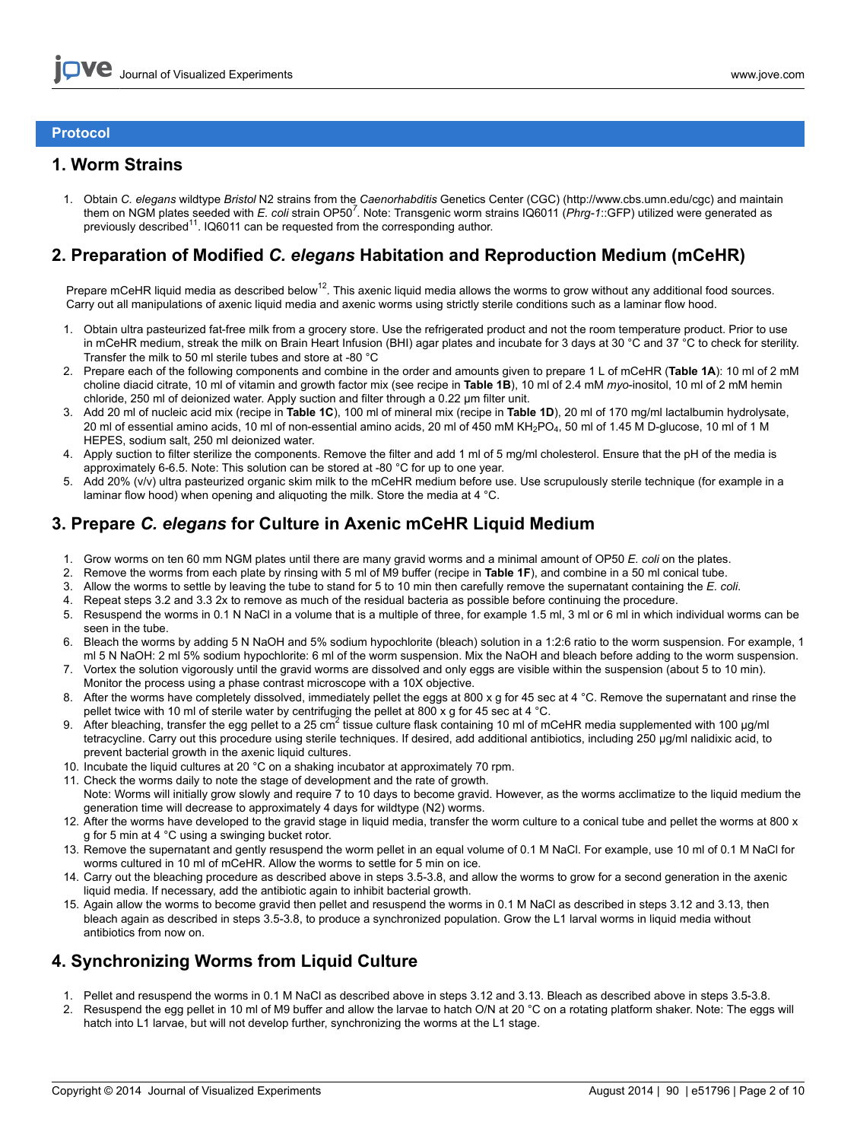## **Protocol**

## **1. Worm Strains**

1. Obtain *C. elegans* wildtype *Bristol* N2 strains from the *Caenorhabditis* Genetics Center (CGC) (http://www.cbs.umn.edu/cgc) and maintain them on NGM plates seeded with *E. coli* strain OP50<sup>7</sup>. Note: Transgenic worm strains IQ6011 (*Phrg-1*::GFP) utilized were generated as previously described<sup>11</sup>. IQ6011 can be requested from the corresponding author.

## **2. Preparation of Modified** *C. elegans* **Habitation and Reproduction Medium (mCeHR)**

Prepare mCeHR liquid media as described below<sup>12</sup>. This axenic liquid media allows the worms to grow without any additional food sources. Carry out all manipulations of axenic liquid media and axenic worms using strictly sterile conditions such as a laminar flow hood.

- 1. Obtain ultra pasteurized fat-free milk from a grocery store. Use the refrigerated product and not the room temperature product. Prior to use in mCeHR medium, streak the milk on Brain Heart Infusion (BHI) agar plates and incubate for 3 days at 30 °C and 37 °C to check for sterility. Transfer the milk to 50 ml sterile tubes and store at -80 °C
- 2. Prepare each of the following components and combine in the order and amounts given to prepare 1 L of mCeHR (**Table 1A**): 10 ml of 2 mM choline diacid citrate, 10 ml of vitamin and growth factor mix (see recipe in **Table 1B**), 10 ml of 2.4 mM *myo*-inositol, 10 ml of 2 mM hemin chloride, 250 ml of deionized water. Apply suction and filter through a 0.22 μm filter unit.
- 3. Add 20 ml of nucleic acid mix (recipe in **Table 1C**), 100 ml of mineral mix (recipe in **Table 1D**), 20 ml of 170 mg/ml lactalbumin hydrolysate, 20 ml of essential amino acids, 10 ml of non-essential amino acids, 20 ml of 450 mM KH<sub>2</sub>PO<sub>4</sub>, 50 ml of 1.45 M D-qlucose, 10 ml of 1 M HEPES, sodium salt, 250 ml deionized water.
- 4. Apply suction to filter sterilize the components. Remove the filter and add 1 ml of 5 mg/ml cholesterol. Ensure that the pH of the media is approximately 6-6.5. Note: This solution can be stored at -80 °C for up to one year.
- 5. Add 20% (v/v) ultra pasteurized organic skim milk to the mCeHR medium before use. Use scrupulously sterile technique (for example in a laminar flow hood) when opening and aliguoting the milk. Store the media at 4 °C.

## **3. Prepare** *C. elegans* **for Culture in Axenic mCeHR Liquid Medium**

- 1. Grow worms on ten 60 mm NGM plates until there are many gravid worms and a minimal amount of OP50 *E. coli* on the plates.
- 2. Remove the worms from each plate by rinsing with 5 ml of M9 buffer (recipe in **Table 1F**), and combine in a 50 ml conical tube.
- 3. Allow the worms to settle by leaving the tube to stand for 5 to 10 min then carefully remove the supernatant containing the *E. coli*.
- 4. Repeat steps 3.2 and 3.3 2x to remove as much of the residual bacteria as possible before continuing the procedure.
- 5. Resuspend the worms in 0.1 N NaCl in a volume that is a multiple of three, for example 1.5 ml, 3 ml or 6 ml in which individual worms can be seen in the tube.
- 6. Bleach the worms by adding 5 N NaOH and 5% sodium hypochlorite (bleach) solution in a 1:2:6 ratio to the worm suspension. For example, 1 ml 5 N NaOH: 2 ml 5% sodium hypochlorite: 6 ml of the worm suspension. Mix the NaOH and bleach before adding to the worm suspension.
- 7. Vortex the solution vigorously until the gravid worms are dissolved and only eggs are visible within the suspension (about 5 to 10 min). Monitor the process using a phase contrast microscope with a 10X objective.
- 8. After the worms have completely dissolved, immediately pellet the eggs at 800 x g for 45 sec at 4 °C. Remove the supernatant and rinse the pellet twice with 10 ml of sterile water by centrifuging the pellet at 800 x g for 45 sec at 4 °C.
- 9. After bleaching, transfer the egg pellet to a 25 cm<sup>2</sup> tissue culture flask containing 10 ml of mCeHR media supplemented with 100 µg/ml tetracycline. Carry out this procedure using sterile techniques. If desired, add additional antibiotics, including 250 μg/ml nalidixic acid, to prevent bacterial growth in the axenic liquid cultures.
- 10. Incubate the liquid cultures at 20 °C on a shaking incubator at approximately 70 rpm.
- 11. Check the worms daily to note the stage of development and the rate of growth.
- Note: Worms will initially grow slowly and require 7 to 10 days to become gravid. However, as the worms acclimatize to the liquid medium the generation time will decrease to approximately 4 days for wildtype (N2) worms.
- 12. After the worms have developed to the gravid stage in liquid media, transfer the worm culture to a conical tube and pellet the worms at 800 x g for 5 min at 4 °C using a swinging bucket rotor.
- 13. Remove the supernatant and gently resuspend the worm pellet in an equal volume of 0.1 M NaCl. For example, use 10 ml of 0.1 M NaCl for worms cultured in 10 ml of mCeHR. Allow the worms to settle for 5 min on ice.
- 14. Carry out the bleaching procedure as described above in steps 3.5-3.8, and allow the worms to grow for a second generation in the axenic liquid media. If necessary, add the antibiotic again to inhibit bacterial growth.
- 15. Again allow the worms to become gravid then pellet and resuspend the worms in 0.1 M NaCl as described in steps 3.12 and 3.13, then bleach again as described in steps 3.5-3.8, to produce a synchronized population. Grow the L1 larval worms in liquid media without antibiotics from now on.

# **4. Synchronizing Worms from Liquid Culture**

- 1. Pellet and resuspend the worms in 0.1 M NaCl as described above in steps 3.12 and 3.13. Bleach as described above in steps 3.5-3.8.
- 2. Resuspend the egg pellet in 10 ml of M9 buffer and allow the larvae to hatch O/N at 20 °C on a rotating platform shaker. Note: The eggs will hatch into L1 larvae, but will not develop further, synchronizing the worms at the L1 stage.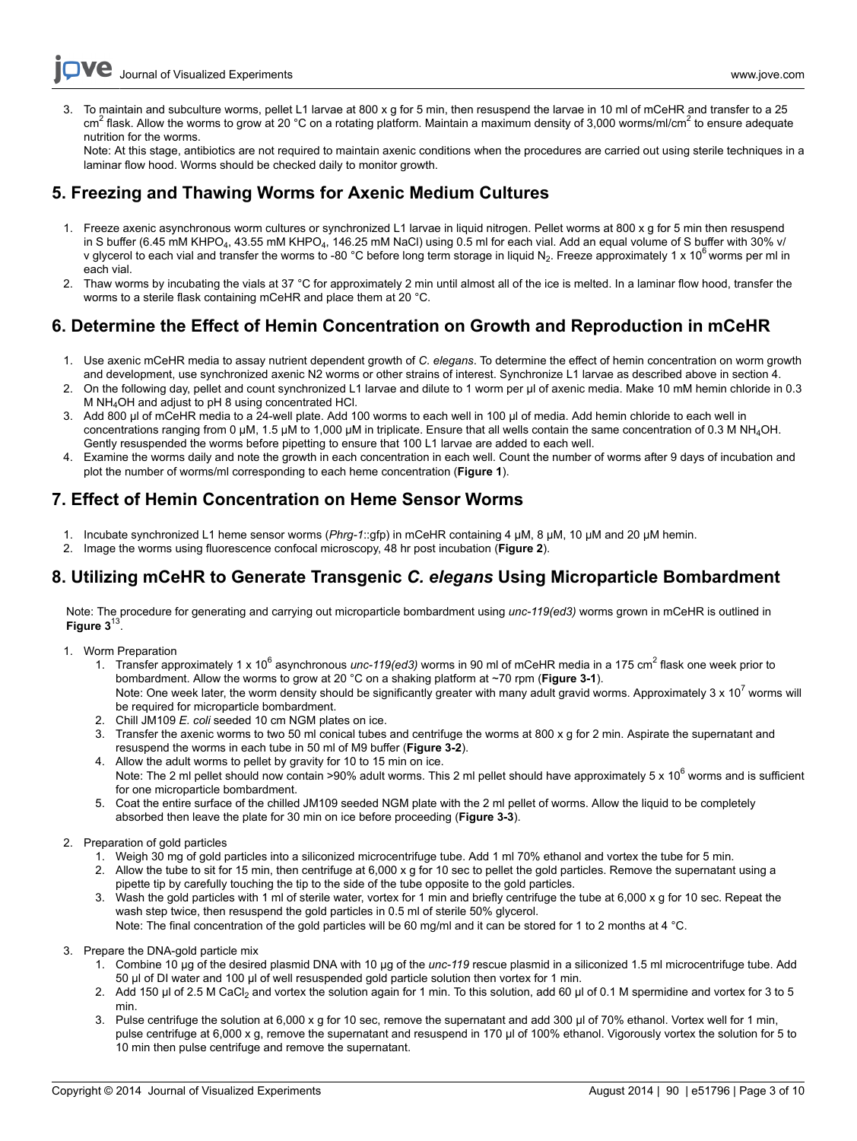3. To maintain and subculture worms, pellet L1 larvae at 800 x g for 5 min, then resuspend the larvae in 10 ml of mCeHR and transfer to a 25 cm<sup>2</sup> flask. Allow the worms to grow at 20 °C on a rotating platform. Maintain a maximum density of 3,000 worms/ml/cm<sup>2</sup> to ensure adequate nutrition for the worms.

Note: At this stage, antibiotics are not required to maintain axenic conditions when the procedures are carried out using sterile techniques in a laminar flow hood. Worms should be checked daily to monitor growth.

## **5. Freezing and Thawing Worms for Axenic Medium Cultures**

- 1. Freeze axenic asynchronous worm cultures or synchronized L1 larvae in liquid nitrogen. Pellet worms at 800 x g for 5 min then resuspend in S buffer (6.45 mM KHPO<sub>4</sub>, 43.55 mM KHPO<sub>4</sub>, 146.25 mM NaCl) using 0.5 ml for each vial. Add an equal volume of S buffer with 30% v/ v glycerol to each vial and transfer the worms to -80 °C before long term storage in liquid N<sub>2</sub>. Freeze approximately 1 x 10<sup>6</sup> worms per ml in each vial.
- 2. Thaw worms by incubating the vials at 37 °C for approximately 2 min until almost all of the ice is melted. In a laminar flow hood, transfer the worms to a sterile flask containing mCeHR and place them at 20 °C.

# **6. Determine the Effect of Hemin Concentration on Growth and Reproduction in mCeHR**

- 1. Use axenic mCeHR media to assay nutrient dependent growth of *C. elegans*. To determine the effect of hemin concentration on worm growth and development, use synchronized axenic N2 worms or other strains of interest. Synchronize L1 larvae as described above in section 4.
- 2. On the following day, pellet and count synchronized L1 larvae and dilute to 1 worm per μl of axenic media. Make 10 mM hemin chloride in 0.3 M NH4OH and adjust to pH 8 using concentrated HCl.
- 3. Add 800 μl of mCeHR media to a 24-well plate. Add 100 worms to each well in 100 μl of media. Add hemin chloride to each well in concentrations ranging from 0 μM, 1.5 μM to 1,000 μM in triplicate. Ensure that all wells contain the same concentration of 0.3 M NH4OH. Gently resuspended the worms before pipetting to ensure that 100 L1 larvae are added to each well.
- 4. Examine the worms daily and note the growth in each concentration in each well. Count the number of worms after 9 days of incubation and plot the number of worms/ml corresponding to each heme concentration (**Figure 1**).

## **7. Effect of Hemin Concentration on Heme Sensor Worms**

- 1. Incubate synchronized L1 heme sensor worms (*Phrg-1*::gfp) in mCeHR containing 4 μM, 8 μM, 10 μM and 20 μM hemin.
- 2. Image the worms using fluorescence confocal microscopy, 48 hr post incubation (**Figure 2**).

# **8. Utilizing mCeHR to Generate Transgenic** *C. elegans* **Using Microparticle Bombardment**

Note: The procedure for generating and carrying out microparticle bombardment using *unc-119(ed3)* worms grown in mCeHR is outlined in Figure  $3^{13}$ .

- 1. Worm Preparation
	- 1. Transfer approximately 1 x 10<sup>6</sup> asynchronous *unc-119(ed3)* worms in 90 ml of mCeHR media in a 175 cm<sup>2</sup> flask one week prior to bombardment. Allow the worms to grow at 20 °C on a shaking platform at ~70 rpm (**Figure 3-1**). Note: One week later, the worm density should be significantly greater with many adult gravid worms. Approximately 3 x 10<sup>7</sup> worms will be required for microparticle bombardment.
	- 2. Chill JM109 *E. coli* seeded 10 cm NGM plates on ice.
	- 3. Transfer the axenic worms to two 50 ml conical tubes and centrifuge the worms at 800 x g for 2 min. Aspirate the supernatant and resuspend the worms in each tube in 50 ml of M9 buffer (**Figure 3-2**).
	- 4. Allow the adult worms to pellet by gravity for 10 to 15 min on ice. Note: The 2 ml pellet should now contain >90% adult worms. This 2 ml pellet should have approximately 5 x  $10^6$  worms and is sufficient for one microparticle bombardment.
	- 5. Coat the entire surface of the chilled JM109 seeded NGM plate with the 2 ml pellet of worms. Allow the liquid to be completely absorbed then leave the plate for 30 min on ice before proceeding (**Figure 3-3**).

## 2. Preparation of gold particles

- 1. Weigh 30 mg of gold particles into a siliconized microcentrifuge tube. Add 1 ml 70% ethanol and vortex the tube for 5 min.
- 2. Allow the tube to sit for 15 min, then centrifuge at 6,000 x g for 10 sec to pellet the gold particles. Remove the supernatant using a pipette tip by carefully touching the tip to the side of the tube opposite to the gold particles.
- 3. Wash the gold particles with 1 ml of sterile water, vortex for 1 min and briefly centrifuge the tube at 6,000 x g for 10 sec. Repeat the wash step twice, then resuspend the gold particles in 0.5 ml of sterile 50% glycerol.
- Note: The final concentration of the gold particles will be 60 mg/ml and it can be stored for 1 to 2 months at 4 °C.
- 3. Prepare the DNA-gold particle mix
	- 1. Combine 10 μg of the desired plasmid DNA with 10 μg of the *unc-119* rescue plasmid in a siliconized 1.5 ml microcentrifuge tube. Add 50 μl of DI water and 100 μl of well resuspended gold particle solution then vortex for 1 min.
	- 2. Add 150 μl of 2.5 M CaCl<sub>2</sub> and vortex the solution again for 1 min. To this solution, add 60 μl of 0.1 M spermidine and vortex for 3 to 5 min.
	- 3. Pulse centrifuge the solution at 6,000 x g for 10 sec, remove the supernatant and add 300 μl of 70% ethanol. Vortex well for 1 min, pulse centrifuge at 6,000 x g, remove the supernatant and resuspend in 170 μl of 100% ethanol. Vigorously vortex the solution for 5 to 10 min then pulse centrifuge and remove the supernatant.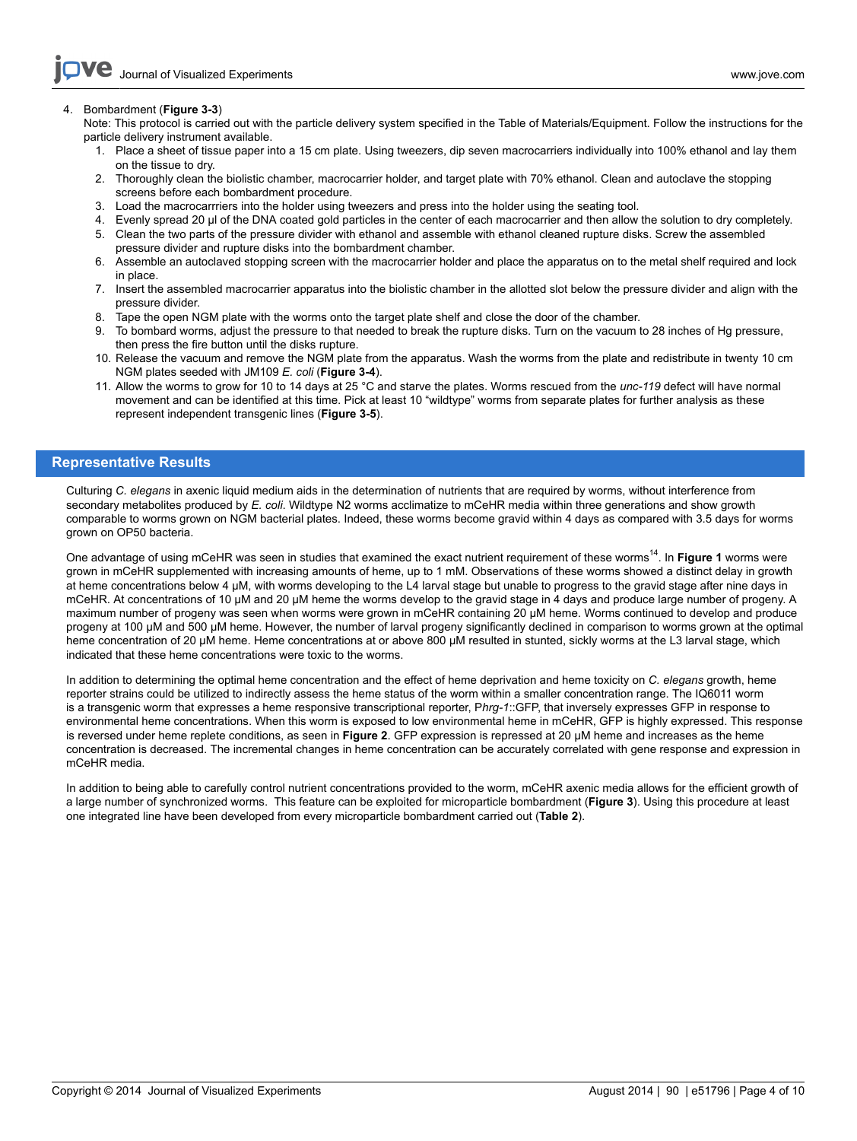#### 4. Bombardment (**Figure 3-3**)

Note: This protocol is carried out with the particle delivery system specified in the Table of Materials/Equipment. Follow the instructions for the particle delivery instrument available.

- 1. Place a sheet of tissue paper into a 15 cm plate. Using tweezers, dip seven macrocarriers individually into 100% ethanol and lay them on the tissue to dry.
- 2. Thoroughly clean the biolistic chamber, macrocarrier holder, and target plate with 70% ethanol. Clean and autoclave the stopping screens before each bombardment procedure.
- 3. Load the macrocarrriers into the holder using tweezers and press into the holder using the seating tool.
- 4. Evenly spread 20 μl of the DNA coated gold particles in the center of each macrocarrier and then allow the solution to dry completely.
- 5. Clean the two parts of the pressure divider with ethanol and assemble with ethanol cleaned rupture disks. Screw the assembled pressure divider and rupture disks into the bombardment chamber.
- 6. Assemble an autoclaved stopping screen with the macrocarrier holder and place the apparatus on to the metal shelf required and lock in place.
- 7. Insert the assembled macrocarrier apparatus into the biolistic chamber in the allotted slot below the pressure divider and align with the pressure divider.
- 8. Tape the open NGM plate with the worms onto the target plate shelf and close the door of the chamber.
- 9. To bombard worms, adjust the pressure to that needed to break the rupture disks. Turn on the vacuum to 28 inches of Hg pressure, then press the fire button until the disks rupture.
- 10. Release the vacuum and remove the NGM plate from the apparatus. Wash the worms from the plate and redistribute in twenty 10 cm NGM plates seeded with JM109 *E. coli* (**Figure 3-4**).
- 11. Allow the worms to grow for 10 to 14 days at 25 °C and starve the plates. Worms rescued from the *unc-119* defect will have normal movement and can be identified at this time. Pick at least 10 "wildtype" worms from separate plates for further analysis as these represent independent transgenic lines (**Figure 3-5**).

## **Representative Results**

Culturing *C. elegans* in axenic liquid medium aids in the determination of nutrients that are required by worms, without interference from secondary metabolites produced by *E. coli*. Wildtype N2 worms acclimatize to mCeHR media within three generations and show growth comparable to worms grown on NGM bacterial plates. Indeed, these worms become gravid within 4 days as compared with 3.5 days for worms grown on OP50 bacteria.

One advantage of using mCeHR was seen in studies that examined the exact nutrient requirement of these worms<sup>14</sup>. In **Figure 1** worms were grown in mCeHR supplemented with increasing amounts of heme, up to 1 mM. Observations of these worms showed a distinct delay in growth at heme concentrations below 4 μM, with worms developing to the L4 larval stage but unable to progress to the gravid stage after nine days in mCeHR. At concentrations of 10 μM and 20 μM heme the worms develop to the gravid stage in 4 days and produce large number of progeny. A maximum number of progeny was seen when worms were grown in mCeHR containing 20 μM heme. Worms continued to develop and produce progeny at 100 μM and 500 μM heme. However, the number of larval progeny significantly declined in comparison to worms grown at the optimal heme concentration of 20 μM heme. Heme concentrations at or above 800 μM resulted in stunted, sickly worms at the L3 larval stage, which indicated that these heme concentrations were toxic to the worms.

In addition to determining the optimal heme concentration and the effect of heme deprivation and heme toxicity on *C. elegans* growth, heme reporter strains could be utilized to indirectly assess the heme status of the worm within a smaller concentration range. The IQ6011 worm is a transgenic worm that expresses a heme responsive transcriptional reporter, P*hrg-1*::GFP, that inversely expresses GFP in response to environmental heme concentrations. When this worm is exposed to low environmental heme in mCeHR, GFP is highly expressed. This response is reversed under heme replete conditions, as seen in **Figure 2**. GFP expression is repressed at 20 μM heme and increases as the heme concentration is decreased. The incremental changes in heme concentration can be accurately correlated with gene response and expression in mCeHR media.

In addition to being able to carefully control nutrient concentrations provided to the worm, mCeHR axenic media allows for the efficient growth of a large number of synchronized worms. This feature can be exploited for microparticle bombardment (**Figure 3**). Using this procedure at least one integrated line have been developed from every microparticle bombardment carried out (**Table 2**).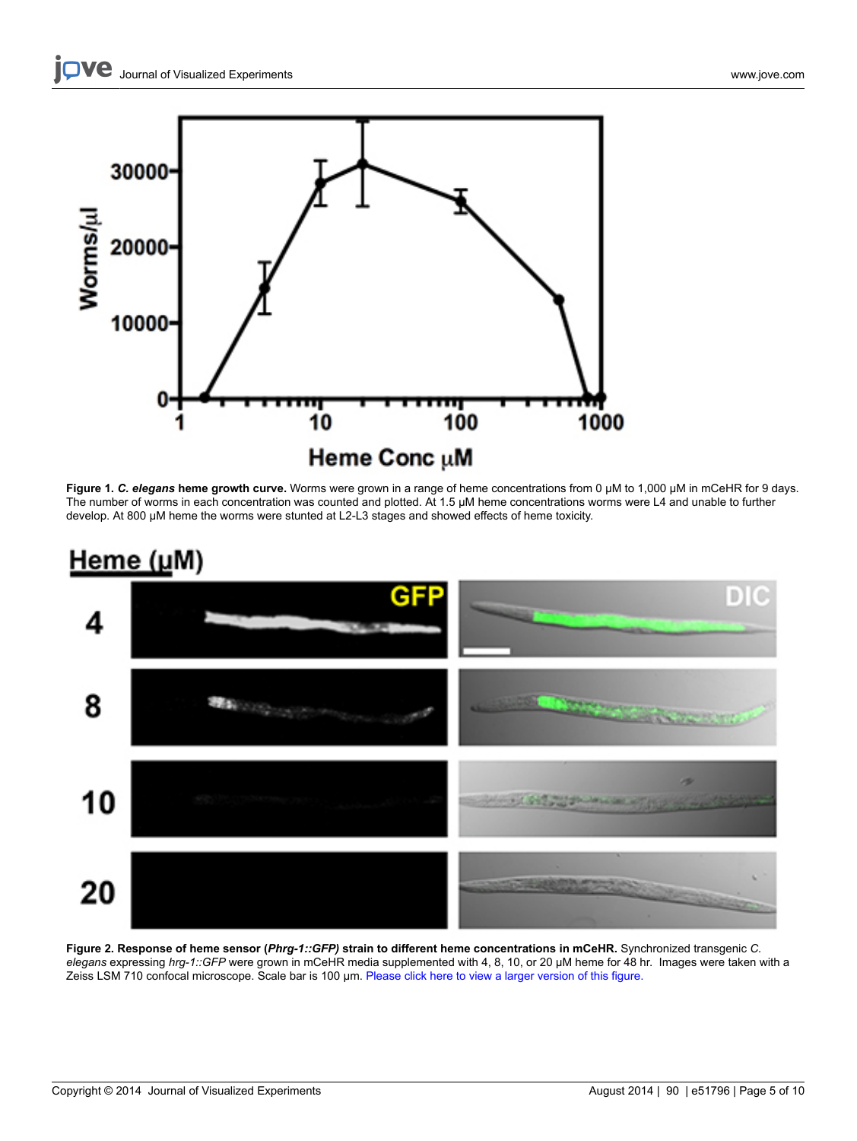

**Figure 1.** *C. elegans* **heme growth curve.** Worms were grown in a range of heme concentrations from 0 μM to 1,000 μM in mCeHR for 9 days. The number of worms in each concentration was counted and plotted. At 1.5 μM heme concentrations worms were L4 and unable to further develop. At 800 μM heme the worms were stunted at L2-L3 stages and showed effects of heme toxicity.



# <u>Heme (μ</u>M)

**Figure 2. Response of heme sensor (***Phrg-1::GFP)* **strain to different heme concentrations in mCeHR.** Synchronized transgenic *C. elegans* expressing *hrg-1::GFP* were grown in mCeHR media supplemented with 4, 8, 10, or 20 µM heme for 48 hr. Images were taken with a Zeiss LSM 710 confocal microscope. Scale bar is 100 µm. [Please click here to view a larger version of this figure.](https://www.jove.com/files/ftp_upload/51796/51796fig2highres.jpg)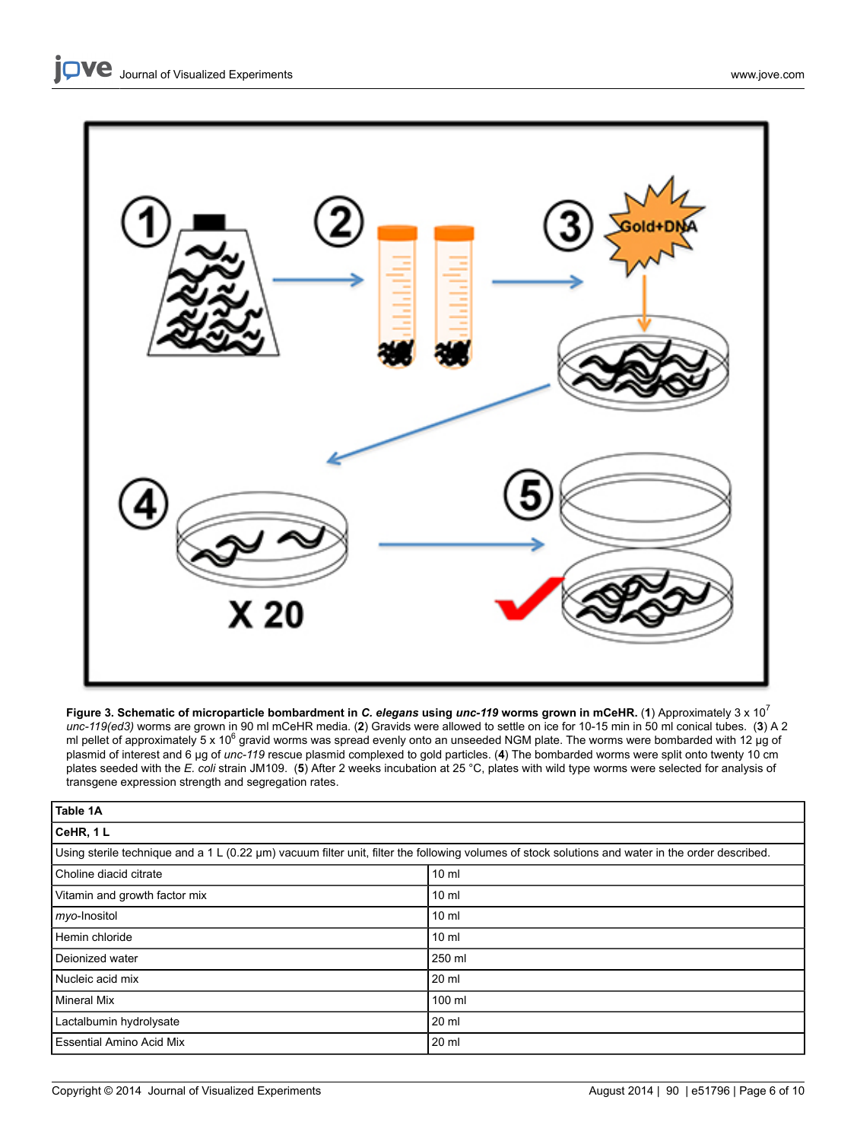

**Figure 3. Schematic of microparticle bombardment in** *C. elegans* **using** *unc-119* **worms grown in mCeHR.** (**1**) Approximately 3 x 10<sup>7</sup> *unc-119(ed3)* worms are grown in 90 ml mCeHR media. (**2**) Gravids were allowed to settle on ice for 10-15 min in 50 ml conical tubes. (**3**) A 2 ml pellet of approximately 5 x 10<sup>6</sup> gravid worms was spread evenly onto an unseeded NGM plate. The worms were bombarded with 12 μg of plasmid of interest and 6 μg of *unc-119* rescue plasmid complexed to gold particles. (**4**) The bombarded worms were split onto twenty 10 cm plates seeded with the *E. coli* strain JM109. (**5**) After 2 weeks incubation at 25 °C, plates with wild type worms were selected for analysis of transgene expression strength and segregation rates.

| Table 1A                                                                                                                                          |                 |  |  |  |
|---------------------------------------------------------------------------------------------------------------------------------------------------|-----------------|--|--|--|
| CeHR, 1L                                                                                                                                          |                 |  |  |  |
| Using sterile technique and a 1 L (0.22 µm) vacuum filter unit, filter the following volumes of stock solutions and water in the order described. |                 |  |  |  |
| Choline diacid citrate                                                                                                                            | 10 <sub>m</sub> |  |  |  |
| Vitamin and growth factor mix                                                                                                                     | 10 <sub>m</sub> |  |  |  |
| myo-Inositol                                                                                                                                      | 10 <sub>m</sub> |  |  |  |
| Hemin chloride                                                                                                                                    | 10 <sub>m</sub> |  |  |  |
| Deionized water                                                                                                                                   | 250 ml          |  |  |  |
| Nucleic acid mix                                                                                                                                  | 20 ml           |  |  |  |
| <b>Mineral Mix</b>                                                                                                                                | 100 ml          |  |  |  |
| Lactalbumin hydrolysate                                                                                                                           | 20 ml           |  |  |  |
| <b>Essential Amino Acid Mix</b>                                                                                                                   | 20 ml           |  |  |  |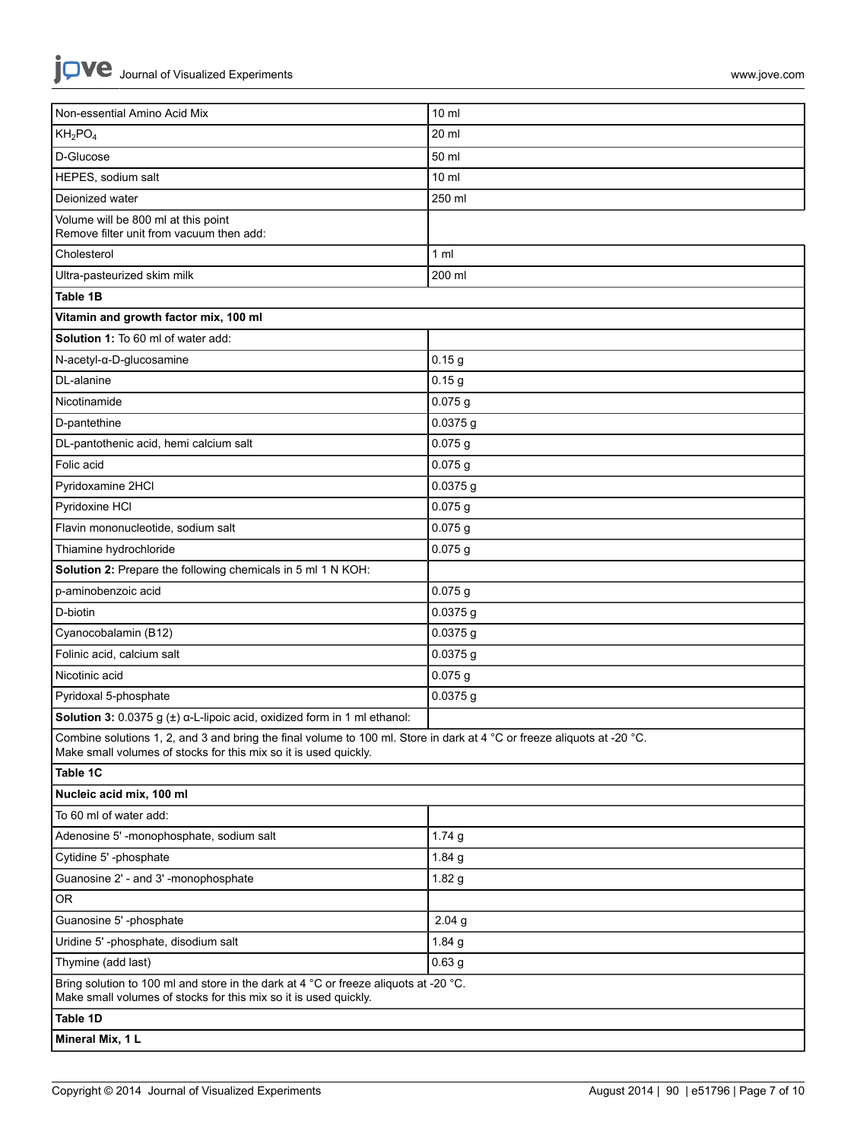| Non-essential Amino Acid Mix                                                                                                                                                                | $10 \mathrm{m}$   |  |  |  |
|---------------------------------------------------------------------------------------------------------------------------------------------------------------------------------------------|-------------------|--|--|--|
| $KH_2PO_4$                                                                                                                                                                                  | 20 ml             |  |  |  |
| D-Glucose                                                                                                                                                                                   | 50 ml             |  |  |  |
| HEPES, sodium salt                                                                                                                                                                          | $10 \mathrm{m}$   |  |  |  |
| Deionized water                                                                                                                                                                             | 250 ml            |  |  |  |
| Volume will be 800 ml at this point<br>Remove filter unit from vacuum then add:                                                                                                             |                   |  |  |  |
| Cholesterol                                                                                                                                                                                 | 1 <sub>m</sub>    |  |  |  |
| Ultra-pasteurized skim milk                                                                                                                                                                 | 200 ml            |  |  |  |
| Table 1B                                                                                                                                                                                    |                   |  |  |  |
| Vitamin and growth factor mix, 100 ml                                                                                                                                                       |                   |  |  |  |
| Solution 1: To 60 ml of water add:                                                                                                                                                          |                   |  |  |  |
| N-acetyl-α-D-glucosamine                                                                                                                                                                    | 0.15 <sub>g</sub> |  |  |  |
| DL-alanine                                                                                                                                                                                  | 0.15 <sub>g</sub> |  |  |  |
| Nicotinamide                                                                                                                                                                                | $0.075$ g         |  |  |  |
| D-pantethine                                                                                                                                                                                | $0.0375$ g        |  |  |  |
| DL-pantothenic acid, hemi calcium salt                                                                                                                                                      | 0.075g            |  |  |  |
| Folic acid                                                                                                                                                                                  | 0.075g            |  |  |  |
| Pyridoxamine 2HCl                                                                                                                                                                           | 0.0375 g          |  |  |  |
| Pyridoxine HCI                                                                                                                                                                              | 0.075g            |  |  |  |
| Flavin mononucleotide, sodium salt                                                                                                                                                          | $0.075$ g         |  |  |  |
| Thiamine hydrochloride                                                                                                                                                                      | 0.075g            |  |  |  |
| Solution 2: Prepare the following chemicals in 5 ml 1 N KOH:                                                                                                                                |                   |  |  |  |
| p-aminobenzoic acid                                                                                                                                                                         | $0.075$ g         |  |  |  |
| D-biotin                                                                                                                                                                                    | $0.0375$ g        |  |  |  |
| Cyanocobalamin (B12)                                                                                                                                                                        | 0.0375g           |  |  |  |
| Folinic acid, calcium salt                                                                                                                                                                  | $0.0375$ g        |  |  |  |
| Nicotinic acid                                                                                                                                                                              | 0.075g            |  |  |  |
| Pyridoxal 5-phosphate                                                                                                                                                                       | 0.0375 g          |  |  |  |
| <b>Solution 3:</b> 0.0375 g $(\pm)$ $\alpha$ -L-lipoic acid, oxidized form in 1 ml ethanol:                                                                                                 |                   |  |  |  |
| Combine solutions 1, 2, and 3 and bring the final volume to 100 ml. Store in dark at 4 °C or freeze aliquots at -20 °C.<br>Make small volumes of stocks for this mix so it is used quickly. |                   |  |  |  |
| Table 1C                                                                                                                                                                                    |                   |  |  |  |
| Nucleic acid mix, 100 ml                                                                                                                                                                    |                   |  |  |  |
| To 60 ml of water add:                                                                                                                                                                      |                   |  |  |  |
| Adenosine 5' -monophosphate, sodium salt                                                                                                                                                    | 1.74g             |  |  |  |
| Cytidine 5' -phosphate                                                                                                                                                                      | 1.84 g            |  |  |  |
| Guanosine 2' - and 3' -monophosphate                                                                                                                                                        | 1.82 <sub>g</sub> |  |  |  |
| OR                                                                                                                                                                                          |                   |  |  |  |
| Guanosine 5' -phosphate                                                                                                                                                                     | 2.04 <sub>g</sub> |  |  |  |
| Uridine 5'-phosphate, disodium salt                                                                                                                                                         | 1.84 $g$          |  |  |  |
| Thymine (add last)                                                                                                                                                                          | 0.63 <sub>g</sub> |  |  |  |
| Bring solution to 100 ml and store in the dark at 4 °C or freeze aliquots at -20 °C.<br>Make small volumes of stocks for this mix so it is used quickly.                                    |                   |  |  |  |
| Table 1D                                                                                                                                                                                    |                   |  |  |  |
| Mineral Mix, 1 L                                                                                                                                                                            |                   |  |  |  |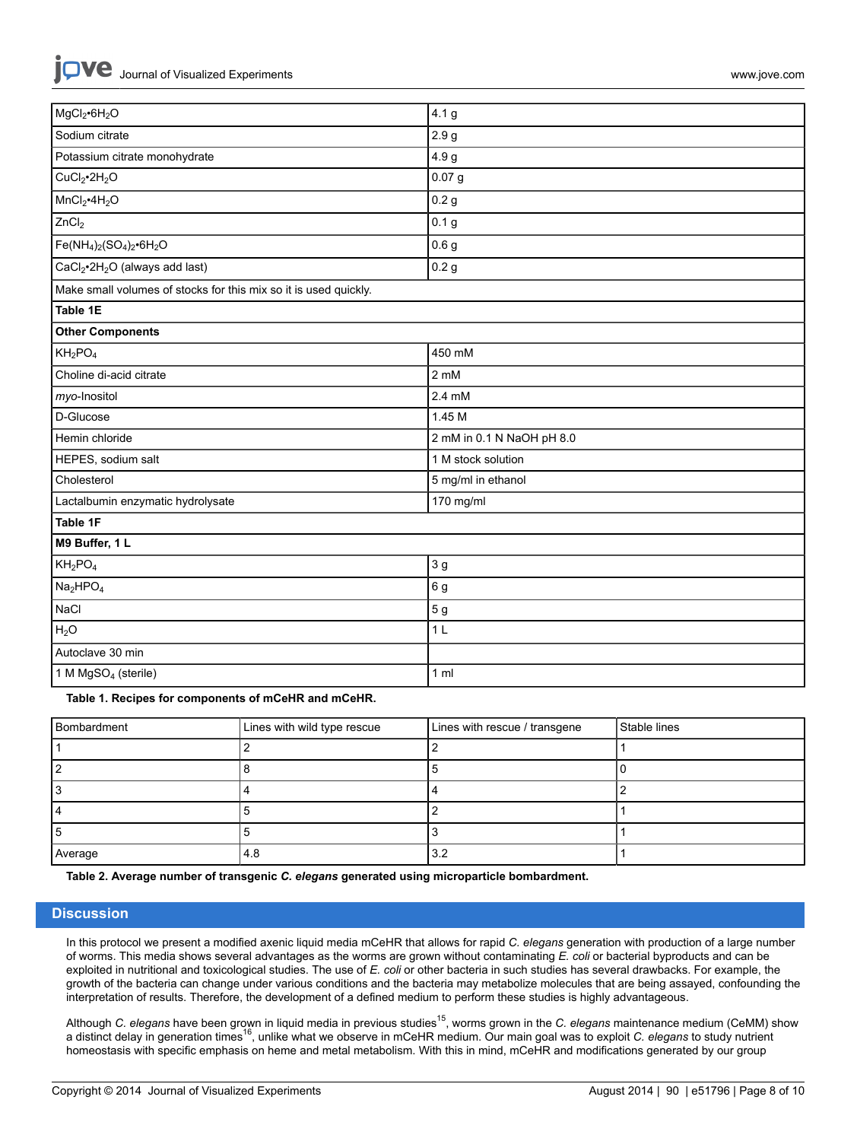|  | Journal of Visualized Experiments |
|--|-----------------------------------|
|  |                                   |

**iove** 

| MgCl <sub>2</sub> •6H <sub>2</sub> O                             | 4.1 g                     |  |  |  |
|------------------------------------------------------------------|---------------------------|--|--|--|
| Sodium citrate                                                   | 2.9 <sub>g</sub>          |  |  |  |
| Potassium citrate monohydrate                                    | 4.9 g                     |  |  |  |
| CuCl <sub>2</sub> •2H <sub>2</sub> O                             | 0.07 <sub>g</sub>         |  |  |  |
| MnCl <sub>2</sub> •4H <sub>2</sub> O                             | 0.2 <sub>g</sub>          |  |  |  |
| ZnCl <sub>2</sub>                                                | 0.1 <sub>g</sub>          |  |  |  |
| $Fe(NH_4)_2(SO_4)_2 \cdot 6H_2O$                                 | 0.6 <sub>g</sub>          |  |  |  |
| CaCl <sub>2</sub> ·2H <sub>2</sub> O (always add last)           | 0.2 <sub>g</sub>          |  |  |  |
| Make small volumes of stocks for this mix so it is used quickly. |                           |  |  |  |
| Table 1E                                                         |                           |  |  |  |
| <b>Other Components</b>                                          |                           |  |  |  |
| $KH_2PO_4$                                                       | 450 mM                    |  |  |  |
| Choline di-acid citrate                                          | $2 \text{ mM}$            |  |  |  |
| myo-Inositol                                                     | 2.4 mM                    |  |  |  |
| D-Glucose                                                        | 1.45 M                    |  |  |  |
| Hemin chloride                                                   | 2 mM in 0.1 N NaOH pH 8.0 |  |  |  |
| HEPES, sodium salt                                               | 1 M stock solution        |  |  |  |
| Cholesterol                                                      | 5 mg/ml in ethanol        |  |  |  |
| Lactalbumin enzymatic hydrolysate                                | 170 mg/ml                 |  |  |  |
| Table 1F                                                         |                           |  |  |  |
| M9 Buffer, 1 L                                                   |                           |  |  |  |
| $KH_2PO_4$                                                       | 3 <sub>g</sub>            |  |  |  |
| Na <sub>2</sub> HPO <sub>4</sub>                                 | 6 g                       |  |  |  |
| NaCl                                                             | 5 <sub>g</sub>            |  |  |  |
| H <sub>2</sub> O                                                 | 1 <sub>L</sub>            |  |  |  |
| Autoclave 30 min                                                 |                           |  |  |  |
| 1 M MgSO <sub>4</sub> (sterile)                                  | 1 <sub>m</sub>            |  |  |  |

**Table 1. Recipes for components of mCeHR and mCeHR.**

| Bombardment | Lines with wild type rescue | Lines with rescue / transgene | Stable lines |
|-------------|-----------------------------|-------------------------------|--------------|
|             |                             |                               |              |
|             |                             |                               |              |
|             |                             |                               |              |
|             |                             |                               |              |
|             |                             |                               |              |
| Average     | 4.8                         | 3.2                           |              |

**Table 2. Average number of transgenic** *C. elegans* **generated using microparticle bombardment.**

#### **Discussion**

In this protocol we present a modified axenic liquid media mCeHR that allows for rapid *C. elegans* generation with production of a large number of worms. This media shows several advantages as the worms are grown without contaminating *E. coli* or bacterial byproducts and can be exploited in nutritional and toxicological studies. The use of *E. coli* or other bacteria in such studies has several drawbacks. For example, the growth of the bacteria can change under various conditions and the bacteria may metabolize molecules that are being assayed, confounding the interpretation of results. Therefore, the development of a defined medium to perform these studies is highly advantageous.

Although *C. elegans* have been grown in liquid media in previous studies<sup>15</sup>, worms grown in the *C. elegans* maintenance medium (CeMM) show a distinct delay in generation times<sup>16</sup>, unlike what we observe in mCeHR medium. Our main goal was to exploit *C. elegans* to study nutrient homeostasis with specific emphasis on heme and metal metabolism. With this in mind, mCeHR and modifications generated by our group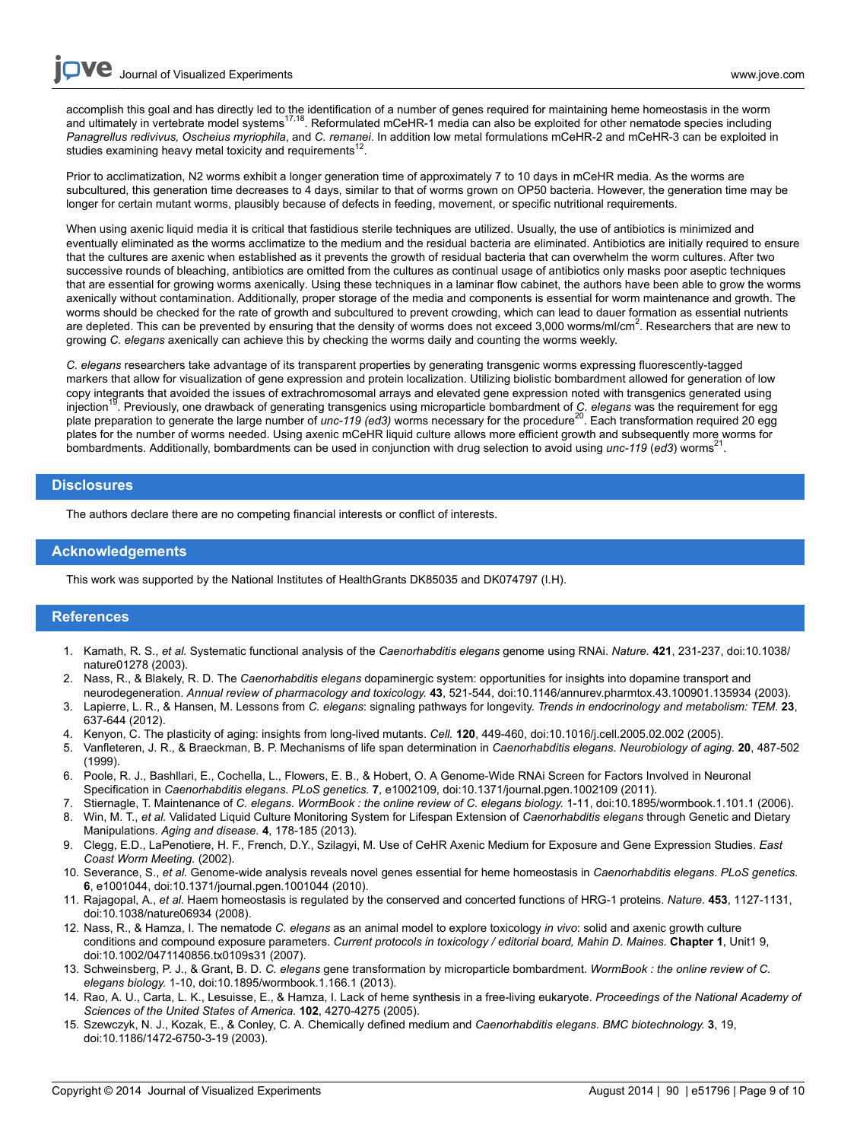**Dve** Journal of Visualized [Experiments](http://www.jove.com) [www.jove.com](http://www.jove.com)

accomplish this goal and has directly led to the identification of a number of genes required for maintaining heme homeostasis in the worm<br>and ultimately in vertebrate model systems<sup>17,18</sup>. Reformulated mCeHR-1 media can a *Panagrellus redivivus, Oscheius myriophila*, and *C. remanei*. In addition low metal formulations mCeHR-2 and mCeHR-3 can be exploited in studies examining heavy metal toxicity and requirements<sup>12</sup> .

Prior to acclimatization, N2 worms exhibit a longer generation time of approximately 7 to 10 days in mCeHR media. As the worms are subcultured, this generation time decreases to 4 days, similar to that of worms grown on OP50 bacteria. However, the generation time may be longer for certain mutant worms, plausibly because of defects in feeding, movement, or specific nutritional requirements.

When using axenic liquid media it is critical that fastidious sterile techniques are utilized. Usually, the use of antibiotics is minimized and eventually eliminated as the worms acclimatize to the medium and the residual bacteria are eliminated. Antibiotics are initially required to ensure that the cultures are axenic when established as it prevents the growth of residual bacteria that can overwhelm the worm cultures. After two successive rounds of bleaching, antibiotics are omitted from the cultures as continual usage of antibiotics only masks poor aseptic techniques that are essential for growing worms axenically*.* Using these techniques in a laminar flow cabinet, the authors have been able to grow the worms axenically without contamination. Additionally, proper storage of the media and components is essential for worm maintenance and growth. The worms should be checked for the rate of growth and subcultured to prevent crowding, which can lead to dauer formation as essential nutrients are depleted. This can be prevented by ensuring that the density of worms does not exceed 3,000 worms/ml/cm<sup>2</sup>. Researchers that are new to growing *C. elegans* axenically can achieve this by checking the worms daily and counting the worms weekly.

*C. elegans* researchers take advantage of its transparent properties by generating transgenic worms expressing fluorescently-tagged markers that allow for visualization of gene expression and protein localization. Utilizing biolistic bombardment allowed for generation of low copy integrants that avoided the issues of extrachromosomal arrays and elevated gene expression noted with transgenics generated using injection<sup>19</sup>. Previously, one drawback of generating transgenics using microparticle bombardment of *C. elegans* was the requirement for egg plate preparation to generate the large number of *unc-119* (ed3) worms necessary for the procedure<sup>20</sup>. Each transformation required 20 egg plates for the number of worms needed. Using axenic mCeHR liquid culture allows more efficient growth and subsequently more worms for bombardments. Additionally, bombardments can be used in conjunction with drug selection to avoid using *unc-119* (*ed3*) worms<sup>2</sup> .

#### **Disclosures**

The authors declare there are no competing financial interests or conflict of interests.

#### **Acknowledgements**

This work was supported by the National Institutes of HealthGrants DK85035 and DK074797 (I.H).

### **References**

- 1. Kamath, R. S., *et al.* Systematic functional analysis of the *Caenorhabditis elegans* genome using RNAi. *Nature.* **421**, 231-237, doi:10.1038/ nature01278 (2003).
- 2. Nass, R., & Blakely, R. D. The *Caenorhabditis elegans* dopaminergic system: opportunities for insights into dopamine transport and neurodegeneration. *Annual review of pharmacology and toxicology.* **43**, 521-544, doi:10.1146/annurev.pharmtox.43.100901.135934 (2003).
- 3. Lapierre, L. R., & Hansen, M. Lessons from *C. elegans*: signaling pathways for longevity. *Trends in endocrinology and metabolism: TEM.* **23**, 637-644 (2012).
- 4. Kenyon, C. The plasticity of aging: insights from long-lived mutants. *Cell.* **120**, 449-460, doi:10.1016/j.cell.2005.02.002 (2005).
- 5. Vanfleteren, J. R., & Braeckman, B. P. Mechanisms of life span determination in *Caenorhabditis elegans*. *Neurobiology of aging.* **20**, 487-502 (1999).
- 6. Poole, R. J., Bashllari, E., Cochella, L., Flowers, E. B., & Hobert, O. A Genome-Wide RNAi Screen for Factors Involved in Neuronal Specification in *Caenorhabditis elegans*. *PLoS genetics.* **7**, e1002109, doi:10.1371/journal.pgen.1002109 (2011).
- 7. Stiernagle, T. Maintenance of *C. elegans*. *WormBook : the online review of C. elegans biology.* 1-11, doi:10.1895/wormbook.1.101.1 (2006).
- 8. Win, M. T., *et al.* Validated Liquid Culture Monitoring System for Lifespan Extension of *Caenorhabditis elegans* through Genetic and Dietary Manipulations. *Aging and disease.* **4**, 178-185 (2013).
- 9. Clegg, E.D., LaPenotiere, H. F., French, D.Y., Szilagyi, M. Use of CeHR Axenic Medium for Exposure and Gene Expression Studies. *East Coast Worm Meeting.* (2002).
- 10. Severance, S., *et al.* Genome-wide analysis reveals novel genes essential for heme homeostasis in *Caenorhabditis elegans*. *PLoS genetics.* **6**, e1001044, doi:10.1371/journal.pgen.1001044 (2010).
- 11. Rajagopal, A., *et al.* Haem homeostasis is regulated by the conserved and concerted functions of HRG-1 proteins. *Nature.* **453**, 1127-1131, doi:10.1038/nature06934 (2008).
- 12. Nass, R., & Hamza, I. The nematode *C. elegans* as an animal model to explore toxicology *in vivo*: solid and axenic growth culture conditions and compound exposure parameters. *Current protocols in toxicology / editorial board, Mahin D. Maines.* **Chapter 1**, Unit1 9, doi:10.1002/0471140856.tx0109s31 (2007).
- 13. Schweinsberg, P. J., & Grant, B. D. *C. elegans* gene transformation by microparticle bombardment. *WormBook : the online review of C. elegans biology.* 1-10, doi:10.1895/wormbook.1.166.1 (2013).
- 14. Rao, A. U., Carta, L. K., Lesuisse, E., & Hamza, I. Lack of heme synthesis in a free-living eukaryote. *Proceedings of the National Academy of Sciences of the United States of America.* **102**, 4270-4275 (2005).
- 15. Szewczyk, N. J., Kozak, E., & Conley, C. A. Chemically defined medium and *Caenorhabditis elegans*. *BMC biotechnology.* **3**, 19, doi:10.1186/1472-6750-3-19 (2003).